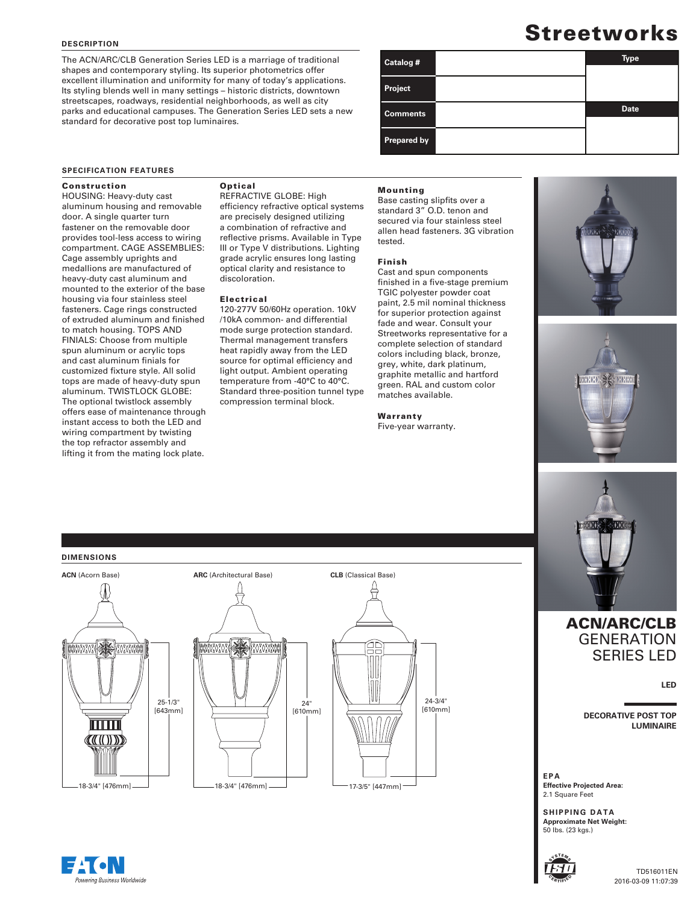### **DESCRIPTION**

The ACN/ARC/CLB Generation Series LED is a marriage of traditional shapes and contemporary styling. Its superior photometrics offer excellent illumination and uniformity for many of today's applications. Its styling blends well in many settings – historic districts, downtown streetscapes, roadways, residential neighborhoods, as well as city parks and educational campuses. The Generation Series LED sets a new standard for decorative post top luminaires.

# **Streetworks**

| Catalog #       | <b>Type</b> |
|-----------------|-------------|
| Project         |             |
| <b>Comments</b> | <b>Date</b> |
| Prepared by     |             |

### **SPECIFICATION FEATURES**

# Construction

HOUSING: Heavy-duty cast aluminum housing and removable door. A single quarter turn fastener on the removable door provides tool-less access to wiring compartment. CAGE ASSEMBLIES: Cage assembly uprights and medallions are manufactured of heavy-duty cast aluminum and mounted to the exterior of the base housing via four stainless steel fasteners. Cage rings constructed of extruded aluminum and finished to match housing. TOPS AND FINIALS: Choose from multiple spun aluminum or acrylic tops and cast aluminum finials for customized fixture style. All solid tops are made of heavy-duty spun aluminum. TWISTLOCK GLOBE: The optional twistlock assembly offers ease of maintenance through instant access to both the LED and wiring compartment by twisting the top refractor assembly and lifting it from the mating lock plate.

# **Optical**

REFRACTIVE GLOBE: High efficiency refractive optical systems are precisely designed utilizing a combination of refractive and reflective prisms. Available in Type III or Type V distributions. Lighting grade acrylic ensures long lasting optical clarity and resistance to discoloration.

## Electrical

120-277V 50/60Hz operation. 10kV /10kA common- and differential mode surge protection standard. Thermal management transfers heat rapidly away from the LED source for optimal efficiency and light output. Ambient operating temperature from -40°C to 40°C. Standard three-position tunnel type compression terminal block.

#### Mounting

Base casting slipfits over a standard 3" O.D. tenon and secured via four stainless steel allen head fasteners. 3G vibration tested.

# Finish

Cast and spun components finished in a five-stage premium TGIC polyester powder coat paint, 2.5 mil nominal thickness for superior protection against fade and wear. Consult your Streetworks representative for a complete selection of standard colors including black, bronze, grey, white, dark platinum, graphite metallic and hartford green. RAL and custom color matches available.

Warranty Five-year warranty.







# ACN/ARC/CLB **GENERATION** SERIES LED

**LED**

**DECORATIVE POST TOP LUMINAIRE**

**EPA Effective Projected Area:** 2.1 Square Feet

**SHIPPING DATA Approximate Net Weight:** 50 lbs. (23 kgs.)



### TD516011EN 2016-03-09 11:07:39

# **DIMENSIONS**